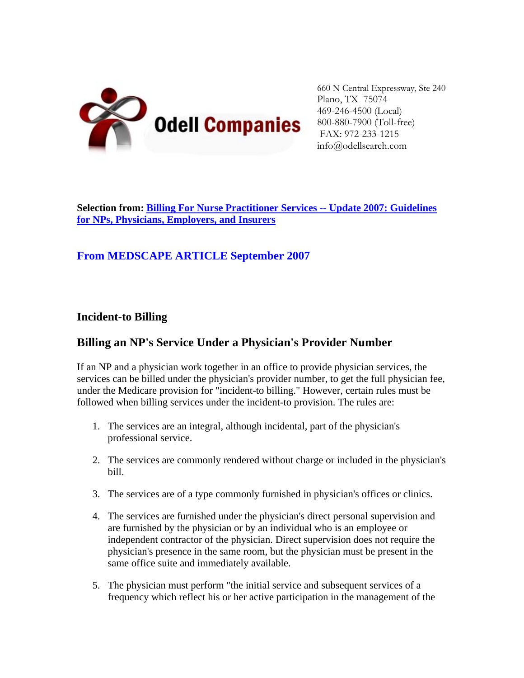

660 N Central Expressway, Ste 240 Plano, TX 75074 469-246-4500 (Local) 800-880-7900 (Toll-free) FAX: 972-233-1215 info@odellsearch.com

**Selection from: [Billing For Nurse Practitioner Services -- Update 2007: Guidelines](http://www.medscape.com/viewprogram/7767)  [for NPs, Physicians, Employers, and Insurers](http://www.medscape.com/viewprogram/7767)**

### **From MEDSCAPE ARTICLE September 2007**

#### **Incident-to Billing**

#### **Billing an NP's Service Under a Physician's Provider Number**

If an NP and a physician work together in an office to provide physician services, the services can be billed under the physician's provider number, to get the full physician fee, under the Medicare provision for "incident-to billing." However, certain rules must be followed when billing services under the incident-to provision. The rules are:

- 1. The services are an integral, although incidental, part of the physician's professional service.
- 2. The services are commonly rendered without charge or included in the physician's bill.
- 3. The services are of a type commonly furnished in physician's offices or clinics.
- 4. The services are furnished under the physician's direct personal supervision and are furnished by the physician or by an individual who is an employee or independent contractor of the physician. Direct supervision does not require the physician's presence in the same room, but the physician must be present in the same office suite and immediately available.
- 5. The physician must perform "the initial service and subsequent services of a frequency which reflect his or her active participation in the management of the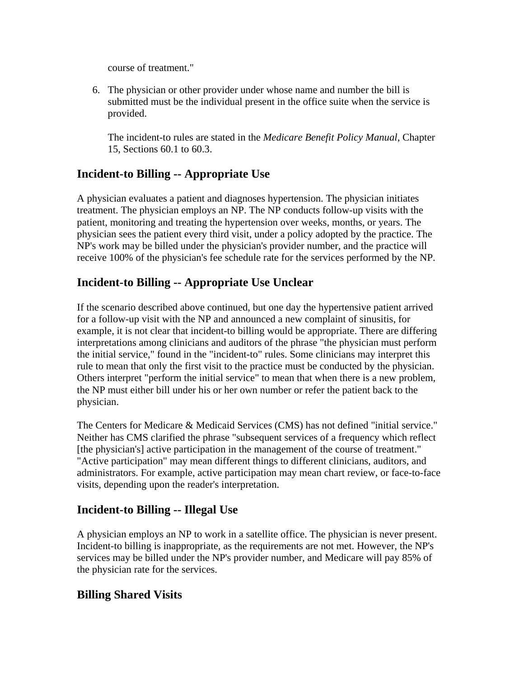course of treatment."

6. The physician or other provider under whose name and number the bill is submitted must be the individual present in the office suite when the service is provided.

The incident-to rules are stated in the *Medicare Benefit Policy Manual*, Chapter 15, Sections 60.1 to 60.3.

# **Incident-to Billing -- Appropriate Use**

A physician evaluates a patient and diagnoses hypertension. The physician initiates treatment. The physician employs an NP. The NP conducts follow-up visits with the patient, monitoring and treating the hypertension over weeks, months, or years. The physician sees the patient every third visit, under a policy adopted by the practice. The NP's work may be billed under the physician's provider number, and the practice will receive 100% of the physician's fee schedule rate for the services performed by the NP.

# **Incident-to Billing -- Appropriate Use Unclear**

If the scenario described above continued, but one day the hypertensive patient arrived for a follow-up visit with the NP and announced a new complaint of sinusitis, for example, it is not clear that incident-to billing would be appropriate. There are differing interpretations among clinicians and auditors of the phrase "the physician must perform the initial service," found in the "incident-to" rules. Some clinicians may interpret this rule to mean that only the first visit to the practice must be conducted by the physician. Others interpret "perform the initial service" to mean that when there is a new problem, the NP must either bill under his or her own number or refer the patient back to the physician.

The Centers for Medicare & Medicaid Services (CMS) has not defined "initial service." Neither has CMS clarified the phrase "subsequent services of a frequency which reflect [the physician's] active participation in the management of the course of treatment." "Active participation" may mean different things to different clinicians, auditors, and administrators. For example, active participation may mean chart review, or face-to-face visits, depending upon the reader's interpretation.

### **Incident-to Billing -- Illegal Use**

A physician employs an NP to work in a satellite office. The physician is never present. Incident-to billing is inappropriate, as the requirements are not met. However, the NP's services may be billed under the NP's provider number, and Medicare will pay 85% of the physician rate for the services.

### **Billing Shared Visits**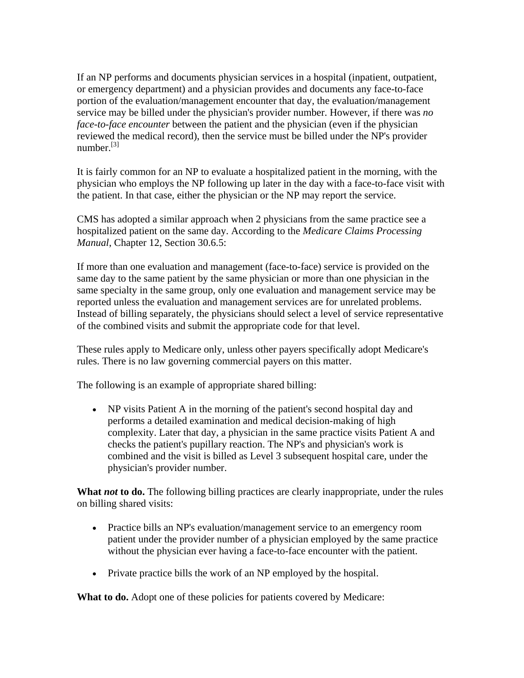If an NP performs and documents physician services in a hospital (inpatient, outpatient, or emergency department) and a physician provides and documents any face-to-face portion of the evaluation/management encounter that day, the evaluation/management service may be billed under the physician's provider number. However, if there was *no face-to-face encounter* between the patient and the physician (even if the physician reviewed the medical record), then the service must be billed under the NP's provider number $^{[3]}$ 

It is fairly common for an NP to evaluate a hospitalized patient in the morning, with the physician who employs the NP following up later in the day with a face-to-face visit with the patient. In that case, either the physician or the NP may report the service.

CMS has adopted a similar approach when 2 physicians from the same practice see a hospitalized patient on the same day. According to the *Medicare Claims Processing Manual*, Chapter 12, Section 30.6.5:

If more than one evaluation and management (face-to-face) service is provided on the same day to the same patient by the same physician or more than one physician in the same specialty in the same group, only one evaluation and management service may be reported unless the evaluation and management services are for unrelated problems. Instead of billing separately, the physicians should select a level of service representative of the combined visits and submit the appropriate code for that level.

These rules apply to Medicare only, unless other payers specifically adopt Medicare's rules. There is no law governing commercial payers on this matter.

The following is an example of appropriate shared billing:

• NP visits Patient A in the morning of the patient's second hospital day and performs a detailed examination and medical decision-making of high complexity. Later that day, a physician in the same practice visits Patient A and checks the patient's pupillary reaction. The NP's and physician's work is combined and the visit is billed as Level 3 subsequent hospital care, under the physician's provider number.

**What** *not* **to do.** The following billing practices are clearly inappropriate, under the rules on billing shared visits:

- Practice bills an NP's evaluation/management service to an emergency room patient under the provider number of a physician employed by the same practice without the physician ever having a face-to-face encounter with the patient.
- Private practice bills the work of an NP employed by the hospital.

**What to do.** Adopt one of these policies for patients covered by Medicare: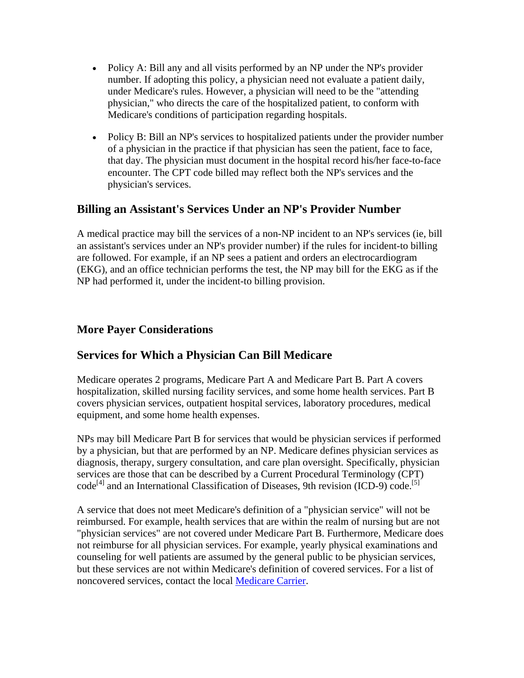- Policy A: Bill any and all visits performed by an NP under the NP's provider number. If adopting this policy, a physician need not evaluate a patient daily, under Medicare's rules. However, a physician will need to be the "attending physician," who directs the care of the hospitalized patient, to conform with Medicare's conditions of participation regarding hospitals.
- Policy B: Bill an NP's services to hospitalized patients under the provider number of a physician in the practice if that physician has seen the patient, face to face, that day. The physician must document in the hospital record his/her face-to-face encounter. The CPT code billed may reflect both the NP's services and the physician's services.

### **Billing an Assistant's Services Under an NP's Provider Number**

A medical practice may bill the services of a non-NP incident to an NP's services (ie, bill an assistant's services under an NP's provider number) if the rules for incident-to billing are followed. For example, if an NP sees a patient and orders an electrocardiogram (EKG), and an office technician performs the test, the NP may bill for the EKG as if the NP had performed it, under the incident-to billing provision.

#### **More Payer Considerations**

### **Services for Which a Physician Can Bill Medicare**

Medicare operates 2 programs, Medicare Part A and Medicare Part B. Part A covers hospitalization, skilled nursing facility services, and some home health services. Part B covers physician services, outpatient hospital services, laboratory procedures, medical equipment, and some home health expenses.

NPs may bill Medicare Part B for services that would be physician services if performed by a physician, but that are performed by an NP. Medicare defines physician services as diagnosis, therapy, surgery consultation, and care plan oversight. Specifically, physician services are those that can be described by a Current Procedural Terminology (CPT)  $code^{[4]}$  and an International Classification of Diseases, 9th revision (ICD-9) code.<sup>[5]</sup>

A service that does not meet Medicare's definition of a "physician service" will not be reimbursed. For example, health services that are within the realm of nursing but are not "physician services" are not covered under Medicare Part B. Furthermore, Medicare does not reimburse for all physician services. For example, yearly physical examinations and counseling for well patients are assumed by the general public to be physician services, but these services are not within Medicare's definition of covered services. For a list of noncovered services, contact the local [Medicare Carrier](http://www.medicare.gov/Contacts/Home.asp).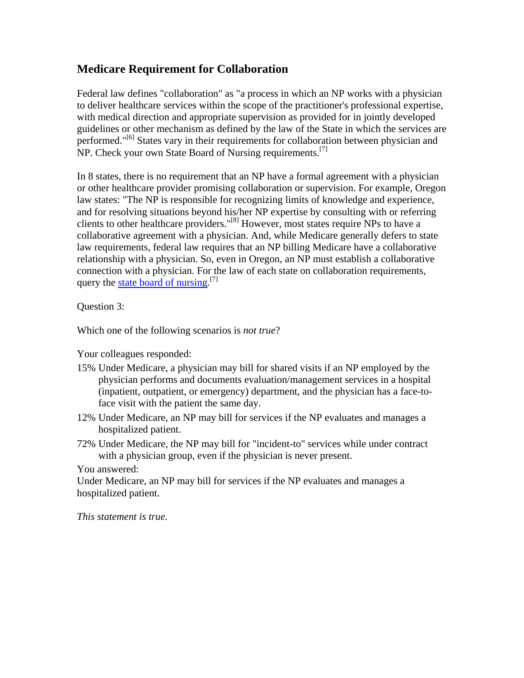# **Medicare Requirement for Collaboration**

Federal law defines "collaboration" as "a process in which an NP works with a physician to deliver healthcare services within the scope of the practitioner's professional expertise, with medical direction and appropriate supervision as provided for in jointly developed guidelines or other mechanism as defined by the law of the State in which the services are performed."<sup>[6]</sup> States vary in their requirements for collaboration between physician and NP. Check your own State Board of Nursing requirements.<sup>[7]</sup>

In 8 states, there is no requirement that an NP have a formal agreement with a physician or other healthcare provider promising collaboration or supervision. For example, Oregon law states: "The NP is responsible for recognizing limits of knowledge and experience, and for resolving situations beyond his/her NP expertise by consulting with or referring clients to other healthcare providers."[8] However, most states require NPs to have a collaborative agreement with a physician. And, while Medicare generally defers to state law requirements, federal law requires that an NP billing Medicare have a collaborative relationship with a physician. So, even in Oregon, an NP must establish a collaborative connection with a physician. For the law of each state on collaboration requirements, query the [state board of nursing](http://www.medscape.com/viewarticle/482270).<sup>[7]</sup>

Question 3:

Which one of the following scenarios is *not true*?

Your colleagues responded:

- 15% Under Medicare, a physician may bill for shared visits if an NP employed by the physician performs and documents evaluation/management services in a hospital (inpatient, outpatient, or emergency) department, and the physician has a face-toface visit with the patient the same day.
- 12% Under Medicare, an NP may bill for services if the NP evaluates and manages a hospitalized patient.
- 72% Under Medicare, the NP may bill for "incident-to" services while under contract with a physician group, even if the physician is never present.

You answered:

Under Medicare, an NP may bill for services if the NP evaluates and manages a hospitalized patient.

*This statement is true.*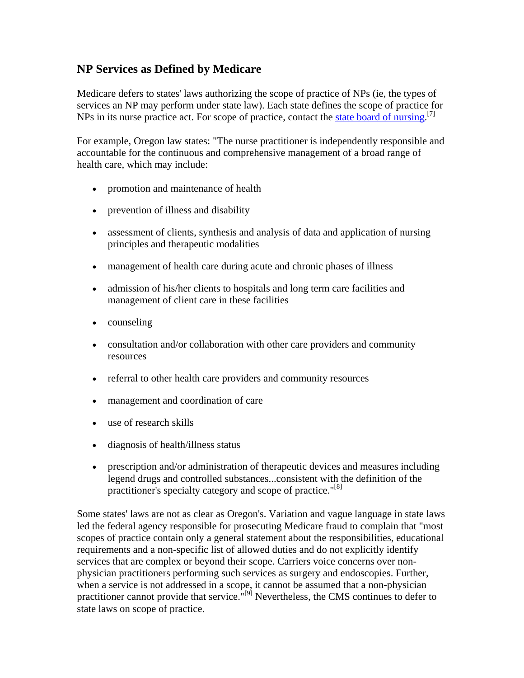### **NP Services as Defined by Medicare**

Medicare defers to states' laws authorizing the scope of practice of NPs (ie, the types of services an NP may perform under state law). Each state defines the scope of practice for NPs in its nurse practice act. For scope of practice, contact the [state board of nursing](http://www.medscape.com/viewarticle/482270).<sup>[7]</sup>

For example, Oregon law states: "The nurse practitioner is independently responsible and accountable for the continuous and comprehensive management of a broad range of health care, which may include:

- promotion and maintenance of health
- prevention of illness and disability
- assessment of clients, synthesis and analysis of data and application of nursing principles and therapeutic modalities
- management of health care during acute and chronic phases of illness
- admission of his/her clients to hospitals and long term care facilities and management of client care in these facilities
- counseling
- consultation and/or collaboration with other care providers and community resources
- referral to other health care providers and community resources
- management and coordination of care
- use of research skills
- diagnosis of health/illness status
- prescription and/or administration of therapeutic devices and measures including legend drugs and controlled substances...consistent with the definition of the practitioner's specialty category and scope of practice."<sup>[8]</sup>

Some states' laws are not as clear as Oregon's. Variation and vague language in state laws led the federal agency responsible for prosecuting Medicare fraud to complain that "most scopes of practice contain only a general statement about the responsibilities, educational requirements and a non-specific list of allowed duties and do not explicitly identify services that are complex or beyond their scope. Carriers voice concerns over nonphysician practitioners performing such services as surgery and endoscopies. Further, when a service is not addressed in a scope, it cannot be assumed that a non-physician practitioner cannot provide that service.  $\mathbb{P}^{[9]}$  Nevertheless, the CMS continues to defer to state laws on scope of practice.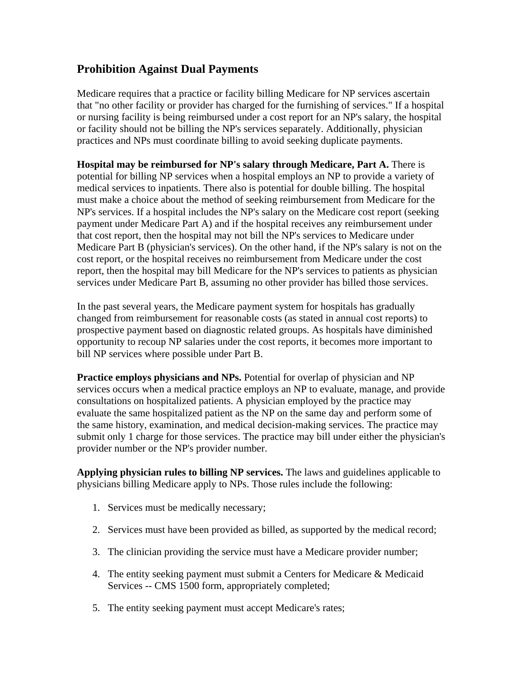### **Prohibition Against Dual Payments**

Medicare requires that a practice or facility billing Medicare for NP services ascertain that "no other facility or provider has charged for the furnishing of services." If a hospital or nursing facility is being reimbursed under a cost report for an NP's salary, the hospital or facility should not be billing the NP's services separately. Additionally, physician practices and NPs must coordinate billing to avoid seeking duplicate payments.

**Hospital may be reimbursed for NP's salary through Medicare, Part A.** There is potential for billing NP services when a hospital employs an NP to provide a variety of medical services to inpatients. There also is potential for double billing. The hospital must make a choice about the method of seeking reimbursement from Medicare for the NP's services. If a hospital includes the NP's salary on the Medicare cost report (seeking payment under Medicare Part A) and if the hospital receives any reimbursement under that cost report, then the hospital may not bill the NP's services to Medicare under Medicare Part B (physician's services). On the other hand, if the NP's salary is not on the cost report, or the hospital receives no reimbursement from Medicare under the cost report, then the hospital may bill Medicare for the NP's services to patients as physician services under Medicare Part B, assuming no other provider has billed those services.

In the past several years, the Medicare payment system for hospitals has gradually changed from reimbursement for reasonable costs (as stated in annual cost reports) to prospective payment based on diagnostic related groups. As hospitals have diminished opportunity to recoup NP salaries under the cost reports, it becomes more important to bill NP services where possible under Part B.

**Practice employs physicians and NPs.** Potential for overlap of physician and NP services occurs when a medical practice employs an NP to evaluate, manage, and provide consultations on hospitalized patients. A physician employed by the practice may evaluate the same hospitalized patient as the NP on the same day and perform some of the same history, examination, and medical decision-making services. The practice may submit only 1 charge for those services. The practice may bill under either the physician's provider number or the NP's provider number.

**Applying physician rules to billing NP services.** The laws and guidelines applicable to physicians billing Medicare apply to NPs. Those rules include the following:

- 1. Services must be medically necessary;
- 2. Services must have been provided as billed, as supported by the medical record;
- 3. The clinician providing the service must have a Medicare provider number;
- 4. The entity seeking payment must submit a Centers for Medicare & Medicaid Services -- CMS 1500 form, appropriately completed;
- 5. The entity seeking payment must accept Medicare's rates;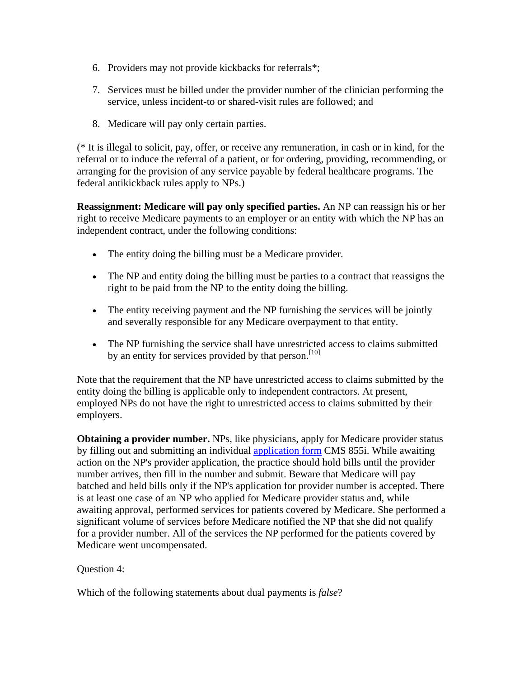- 6. Providers may not provide kickbacks for referrals\*;
- 7. Services must be billed under the provider number of the clinician performing the service, unless incident-to or shared-visit rules are followed; and
- 8. Medicare will pay only certain parties.

(\* It is illegal to solicit, pay, offer, or receive any remuneration, in cash or in kind, for the referral or to induce the referral of a patient, or for ordering, providing, recommending, or arranging for the provision of any service payable by federal healthcare programs. The federal antikickback rules apply to NPs.)

**Reassignment: Medicare will pay only specified parties.** An NP can reassign his or her right to receive Medicare payments to an employer or an entity with which the NP has an independent contract, under the following conditions:

- The entity doing the billing must be a Medicare provider.
- The NP and entity doing the billing must be parties to a contract that reassigns the right to be paid from the NP to the entity doing the billing.
- The entity receiving payment and the NP furnishing the services will be jointly and severally responsible for any Medicare overpayment to that entity.
- The NP furnishing the service shall have unrestricted access to claims submitted by an entity for services provided by that person.<sup>[10]</sup>

Note that the requirement that the NP have unrestricted access to claims submitted by the entity doing the billing is applicable only to independent contractors. At present, employed NPs do not have the right to unrestricted access to claims submitted by their employers.

**Obtaining a provider number.** NPs, like physicians, apply for Medicare provider status by filling out and submitting an individual [application form](http://www.cms.hhs.gov/cmsforms/downloads/cms855i.pdf) CMS 855i. While awaiting action on the NP's provider application, the practice should hold bills until the provider number arrives, then fill in the number and submit. Beware that Medicare will pay batched and held bills only if the NP's application for provider number is accepted. There is at least one case of an NP who applied for Medicare provider status and, while awaiting approval, performed services for patients covered by Medicare. She performed a significant volume of services before Medicare notified the NP that she did not qualify for a provider number. All of the services the NP performed for the patients covered by Medicare went uncompensated.

Question 4:

Which of the following statements about dual payments is *false*?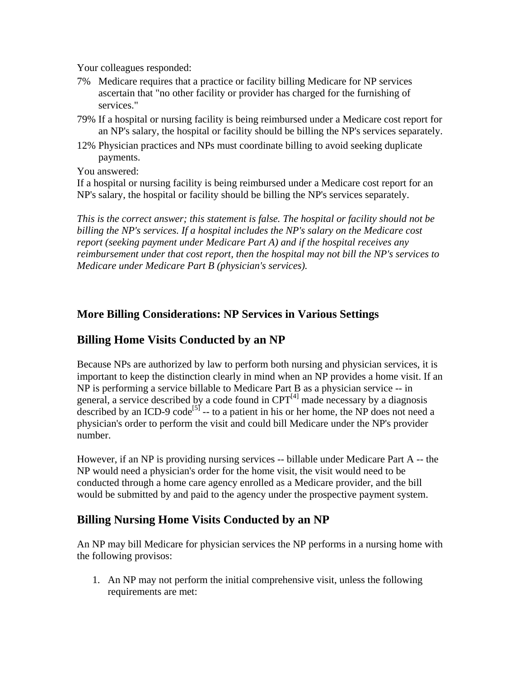Your colleagues responded:

- 7% Medicare requires that a practice or facility billing Medicare for NP services ascertain that "no other facility or provider has charged for the furnishing of services."
- 79% If a hospital or nursing facility is being reimbursed under a Medicare cost report for an NP's salary, the hospital or facility should be billing the NP's services separately.
- 12% Physician practices and NPs must coordinate billing to avoid seeking duplicate payments.

You answered:

If a hospital or nursing facility is being reimbursed under a Medicare cost report for an NP's salary, the hospital or facility should be billing the NP's services separately.

*This is the correct answer; this statement is false. The hospital or facility should not be billing the NP's services. If a hospital includes the NP's salary on the Medicare cost report (seeking payment under Medicare Part A) and if the hospital receives any reimbursement under that cost report, then the hospital may not bill the NP's services to Medicare under Medicare Part B (physician's services).*

### **More Billing Considerations: NP Services in Various Settings**

### **Billing Home Visits Conducted by an NP**

Because NPs are authorized by law to perform both nursing and physician services, it is important to keep the distinction clearly in mind when an NP provides a home visit. If an NP is performing a service billable to Medicare Part B as a physician service -- in general, a service described by a code found in  $CPT<sup>[4]</sup>$  made necessary by a diagnosis described by an ICD-9 code<sup>[5]</sup> -- to a patient in his or her home, the NP does not need a physician's order to perform the visit and could bill Medicare under the NP's provider number.

However, if an NP is providing nursing services -- billable under Medicare Part A -- the NP would need a physician's order for the home visit, the visit would need to be conducted through a home care agency enrolled as a Medicare provider, and the bill would be submitted by and paid to the agency under the prospective payment system.

### **Billing Nursing Home Visits Conducted by an NP**

An NP may bill Medicare for physician services the NP performs in a nursing home with the following provisos:

1. An NP may not perform the initial comprehensive visit, unless the following requirements are met: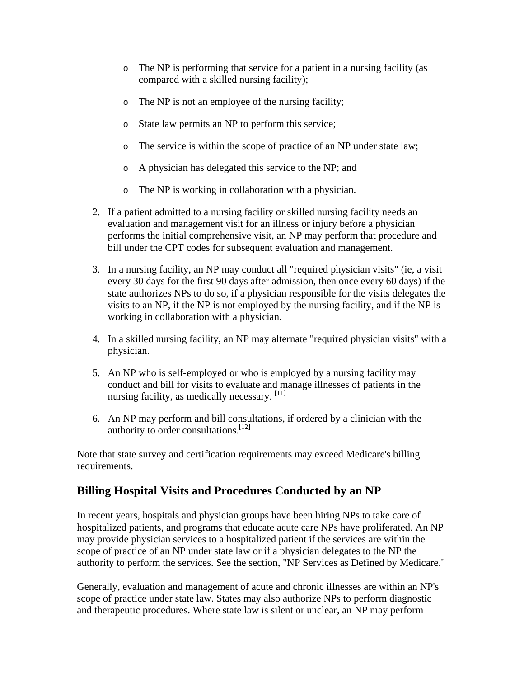- o The NP is performing that service for a patient in a nursing facility (as compared with a skilled nursing facility);
- o The NP is not an employee of the nursing facility;
- o State law permits an NP to perform this service;
- o The service is within the scope of practice of an NP under state law;
- o A physician has delegated this service to the NP; and
- o The NP is working in collaboration with a physician.
- 2. If a patient admitted to a nursing facility or skilled nursing facility needs an evaluation and management visit for an illness or injury before a physician performs the initial comprehensive visit, an NP may perform that procedure and bill under the CPT codes for subsequent evaluation and management.
- 3. In a nursing facility, an NP may conduct all "required physician visits" (ie, a visit every 30 days for the first 90 days after admission, then once every 60 days) if the state authorizes NPs to do so, if a physician responsible for the visits delegates the visits to an NP, if the NP is not employed by the nursing facility, and if the NP is working in collaboration with a physician.
- 4. In a skilled nursing facility, an NP may alternate "required physician visits" with a physician.
- 5. An NP who is self-employed or who is employed by a nursing facility may conduct and bill for visits to evaluate and manage illnesses of patients in the nursing facility, as medically necessary. [11]
- 6. An NP may perform and bill consultations, if ordered by a clinician with the authority to order consultations.[12]

Note that state survey and certification requirements may exceed Medicare's billing requirements.

# **Billing Hospital Visits and Procedures Conducted by an NP**

In recent years, hospitals and physician groups have been hiring NPs to take care of hospitalized patients, and programs that educate acute care NPs have proliferated. An NP may provide physician services to a hospitalized patient if the services are within the scope of practice of an NP under state law or if a physician delegates to the NP the authority to perform the services. See the section, "NP Services as Defined by Medicare."

Generally, evaluation and management of acute and chronic illnesses are within an NP's scope of practice under state law. States may also authorize NPs to perform diagnostic and therapeutic procedures. Where state law is silent or unclear, an NP may perform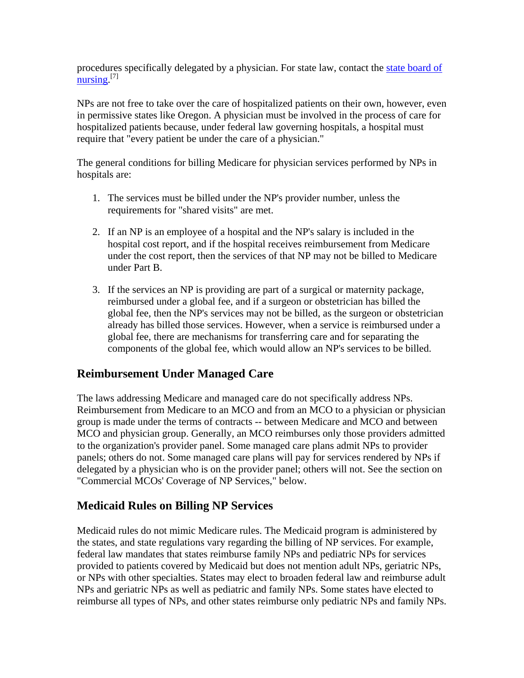procedures specifically delegated by a physician. For state law, contact the state board of [nursing](http://www.medscape.com/viewarticle/482270).<sup>[7]</sup>

NPs are not free to take over the care of hospitalized patients on their own, however, even in permissive states like Oregon. A physician must be involved in the process of care for hospitalized patients because, under federal law governing hospitals, a hospital must require that "every patient be under the care of a physician."

The general conditions for billing Medicare for physician services performed by NPs in hospitals are:

- 1. The services must be billed under the NP's provider number, unless the requirements for "shared visits" are met.
- 2. If an NP is an employee of a hospital and the NP's salary is included in the hospital cost report, and if the hospital receives reimbursement from Medicare under the cost report, then the services of that NP may not be billed to Medicare under Part B.
- 3. If the services an NP is providing are part of a surgical or maternity package, reimbursed under a global fee, and if a surgeon or obstetrician has billed the global fee, then the NP's services may not be billed, as the surgeon or obstetrician already has billed those services. However, when a service is reimbursed under a global fee, there are mechanisms for transferring care and for separating the components of the global fee, which would allow an NP's services to be billed.

### **Reimbursement Under Managed Care**

The laws addressing Medicare and managed care do not specifically address NPs. Reimbursement from Medicare to an MCO and from an MCO to a physician or physician group is made under the terms of contracts -- between Medicare and MCO and between MCO and physician group. Generally, an MCO reimburses only those providers admitted to the organization's provider panel. Some managed care plans admit NPs to provider panels; others do not. Some managed care plans will pay for services rendered by NPs if delegated by a physician who is on the provider panel; others will not. See the section on "Commercial MCOs' Coverage of NP Services," below.

### **Medicaid Rules on Billing NP Services**

Medicaid rules do not mimic Medicare rules. The Medicaid program is administered by the states, and state regulations vary regarding the billing of NP services. For example, federal law mandates that states reimburse family NPs and pediatric NPs for services provided to patients covered by Medicaid but does not mention adult NPs, geriatric NPs, or NPs with other specialties. States may elect to broaden federal law and reimburse adult NPs and geriatric NPs as well as pediatric and family NPs. Some states have elected to reimburse all types of NPs, and other states reimburse only pediatric NPs and family NPs.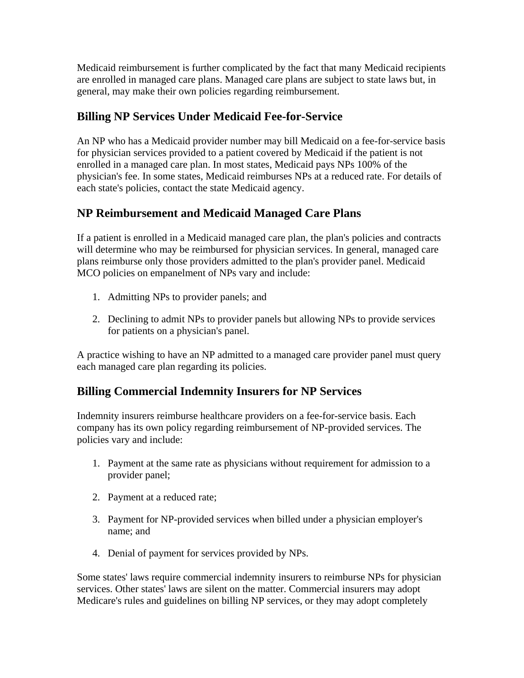Medicaid reimbursement is further complicated by the fact that many Medicaid recipients are enrolled in managed care plans. Managed care plans are subject to state laws but, in general, may make their own policies regarding reimbursement.

# **Billing NP Services Under Medicaid Fee-for-Service**

An NP who has a Medicaid provider number may bill Medicaid on a fee-for-service basis for physician services provided to a patient covered by Medicaid if the patient is not enrolled in a managed care plan. In most states, Medicaid pays NPs 100% of the physician's fee. In some states, Medicaid reimburses NPs at a reduced rate. For details of each state's policies, contact the state Medicaid agency.

# **NP Reimbursement and Medicaid Managed Care Plans**

If a patient is enrolled in a Medicaid managed care plan, the plan's policies and contracts will determine who may be reimbursed for physician services. In general, managed care plans reimburse only those providers admitted to the plan's provider panel. Medicaid MCO policies on empanelment of NPs vary and include:

- 1. Admitting NPs to provider panels; and
- 2. Declining to admit NPs to provider panels but allowing NPs to provide services for patients on a physician's panel.

A practice wishing to have an NP admitted to a managed care provider panel must query each managed care plan regarding its policies.

### **Billing Commercial Indemnity Insurers for NP Services**

Indemnity insurers reimburse healthcare providers on a fee-for-service basis. Each company has its own policy regarding reimbursement of NP-provided services. The policies vary and include:

- 1. Payment at the same rate as physicians without requirement for admission to a provider panel;
- 2. Payment at a reduced rate;
- 3. Payment for NP-provided services when billed under a physician employer's name; and
- 4. Denial of payment for services provided by NPs.

Some states' laws require commercial indemnity insurers to reimburse NPs for physician services. Other states' laws are silent on the matter. Commercial insurers may adopt Medicare's rules and guidelines on billing NP services, or they may adopt completely